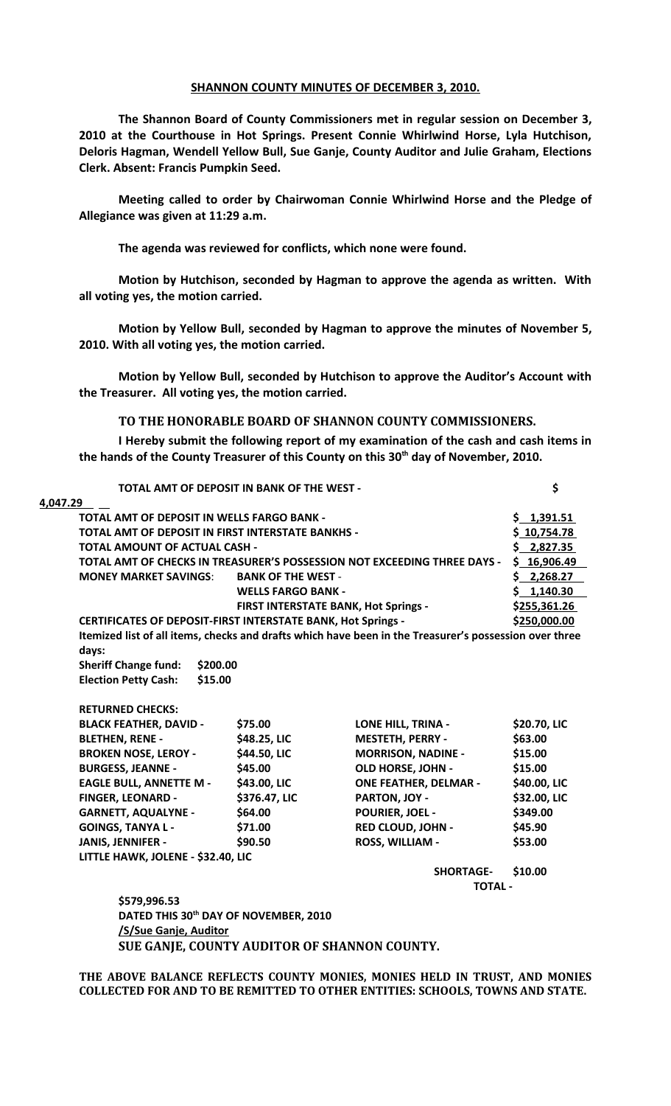## **SHANNON COUNTY MINUTES OF DECEMBER 3, 2010.**

**The Shannon Board of County Commissioners met in regular session on December 3, 2010 at the Courthouse in Hot Springs. Present Connie Whirlwind Horse, Lyla Hutchison, Deloris Hagman, Wendell Yellow Bull, Sue Ganje, County Auditor and Julie Graham, Elections Clerk. Absent: Francis Pumpkin Seed.** 

**Meeting called to order by Chairwoman Connie Whirlwind Horse and the Pledge of Allegiance was given at 11:29 a.m.**

**The agenda was reviewed for conflicts, which none were found.**

**Motion by Hutchison, seconded by Hagman to approve the agenda as written. With all voting yes, the motion carried.**

**Motion by Yellow Bull, seconded by Hagman to approve the minutes of November 5, 2010. With all voting yes, the motion carried.**

**Motion by Yellow Bull, seconded by Hutchison to approve the Auditor's Account with the Treasurer. All voting yes, the motion carried.**

## **TO THE HONORABLE BOARD OF SHANNON COUNTY COMMISSIONERS.**

**I Hereby submit the following report of my examination of the cash and cash items in the hands of the County Treasurer of this County on this 30th day of November, 2010.**

| <b>TOTAL AMT OF DEPOSIT IN BANK OF THE WEST -</b>                        | \$                                                                  |                                                                                                        |              |
|--------------------------------------------------------------------------|---------------------------------------------------------------------|--------------------------------------------------------------------------------------------------------|--------------|
| 4,047.29                                                                 |                                                                     |                                                                                                        |              |
|                                                                          | <b>TOTAL AMT OF DEPOSIT IN WELLS FARGO BANK -</b>                   |                                                                                                        |              |
|                                                                          | <b>TOTAL AMT OF DEPOSIT IN FIRST INTERSTATE BANKHS -</b>            |                                                                                                        |              |
| <b>TOTAL AMOUNT OF ACTUAL CASH -</b>                                     |                                                                     |                                                                                                        | \$ 2,827.35  |
| TOTAL AMT OF CHECKS IN TREASURER'S POSSESSION NOT EXCEEDING THREE DAYS - |                                                                     |                                                                                                        | \$16,906.49  |
| <b>MONEY MARKET SAVINGS:</b><br><b>BANK OF THE WEST -</b>                |                                                                     | \$2,268.27                                                                                             |              |
|                                                                          | <b>WELLS FARGO BANK -</b>                                           |                                                                                                        | \$1,140.30   |
| <b>FIRST INTERSTATE BANK, Hot Springs -</b>                              |                                                                     | \$255,361.26                                                                                           |              |
|                                                                          | <b>CERTIFICATES OF DEPOSIT-FIRST INTERSTATE BANK, Hot Springs -</b> |                                                                                                        |              |
|                                                                          |                                                                     | Itemized list of all items, checks and drafts which have been in the Treasurer's possession over three |              |
| days:                                                                    |                                                                     |                                                                                                        |              |
| <b>Sheriff Change fund:</b><br>\$200.00                                  |                                                                     |                                                                                                        |              |
| <b>Election Petty Cash:</b><br>\$15.00                                   |                                                                     |                                                                                                        |              |
| <b>RETURNED CHECKS:</b>                                                  |                                                                     |                                                                                                        |              |
| <b>BLACK FEATHER, DAVID -</b>                                            | \$75.00                                                             | LONE HILL, TRINA -                                                                                     | \$20.70, LIC |
| <b>BLETHEN, RENE -</b>                                                   | \$48.25, LIC                                                        | <b>MESTETH, PERRY -</b>                                                                                | \$63.00      |
| <b>BROKEN NOSE, LEROY -</b>                                              | \$44.50, LIC                                                        | <b>MORRISON, NADINE -</b>                                                                              | \$15.00      |
| <b>BURGESS, JEANNE -</b>                                                 | \$45.00                                                             | OLD HORSE, JOHN -                                                                                      | \$15.00      |
| <b>EAGLE BULL, ANNETTE M -</b>                                           | \$43.00, LIC                                                        | <b>ONE FEATHER, DELMAR -</b>                                                                           | \$40.00, LIC |
| <b>FINGER, LEONARD -</b>                                                 | \$376.47, LIC                                                       | PARTON, JOY -                                                                                          | \$32.00, LIC |
| <b>GARNETT, AQUALYNE -</b>                                               | \$64.00                                                             | <b>POURIER, JOEL -</b>                                                                                 | \$349.00     |
| <b>GOINGS, TANYA L-</b>                                                  | \$71.00                                                             | <b>RED CLOUD, JOHN -</b>                                                                               | \$45.90      |
| JANIS, JENNIFER -                                                        | \$90.50                                                             | ROSS, WILLIAM -                                                                                        | \$53.00      |
| LITTLE HAWK, JOLENE - \$32.40, LIC                                       |                                                                     |                                                                                                        |              |
|                                                                          |                                                                     | <b>SHORTAGE-</b>                                                                                       | \$10.00      |
|                                                                          |                                                                     | <b>TOTAL -</b>                                                                                         |              |
| \$579,996.53                                                             |                                                                     |                                                                                                        |              |
|                                                                          | DATED THIS 30 <sup>th</sup> DAY OF NOVEMBER, 2010                   |                                                                                                        |              |
| /S/Sue Ganje, Auditor                                                    |                                                                     |                                                                                                        |              |

**THE ABOVE BALANCE REFLECTS COUNTY MONIES, MONIES HELD IN TRUST, AND MONIES COLLECTED FOR AND TO BE REMITTED TO OTHER ENTITIES: SCHOOLS, TOWNS AND STATE.**

 **SUE GANJE, COUNTY AUDITOR OF SHANNON COUNTY.**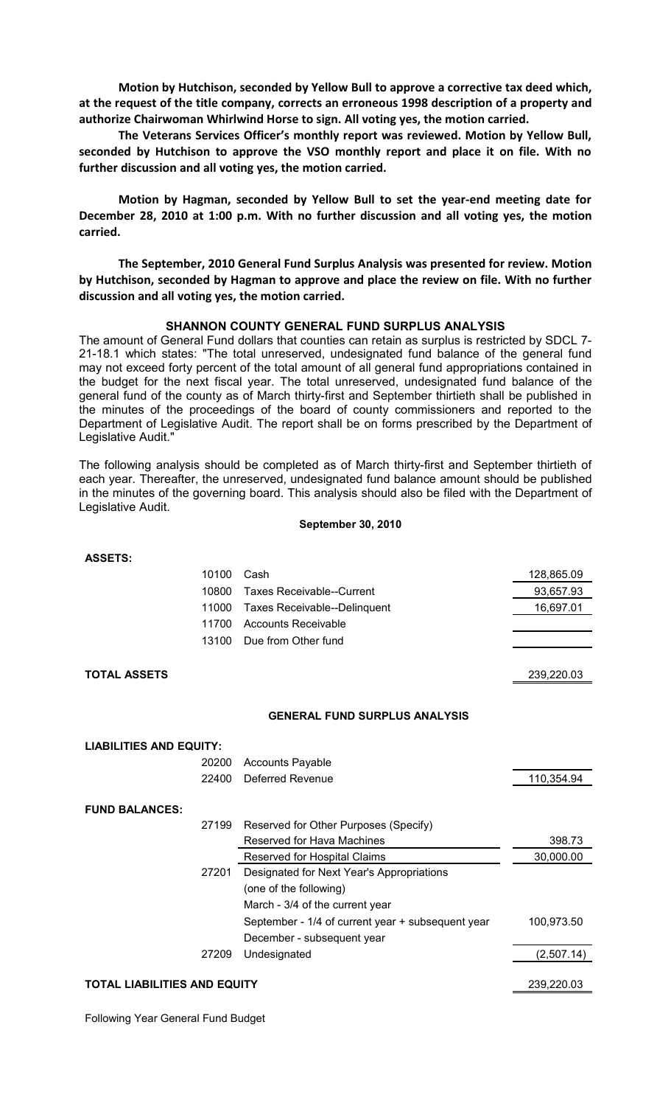**Motion by Hutchison, seconded by Yellow Bull to approve a corrective tax deed which, at the request of the title company, corrects an erroneous 1998 description of a property and authorize Chairwoman Whirlwind Horse to sign. All voting yes, the motion carried.**

**The Veterans Services Officer's monthly report was reviewed. Motion by Yellow Bull, seconded by Hutchison to approve the VSO monthly report and place it on file. With no further discussion and all voting yes, the motion carried.**

**Motion by Hagman, seconded by Yellow Bull to set the year-end meeting date for December 28, 2010 at 1:00 p.m. With no further discussion and all voting yes, the motion carried.**

**The September, 2010 General Fund Surplus Analysis was presented for review. Motion by Hutchison, seconded by Hagman to approve and place the review on file. With no further discussion and all voting yes, the motion carried.**

## **SHANNON COUNTY GENERAL FUND SURPLUS ANALYSIS**

The amount of General Fund dollars that counties can retain as surplus is restricted by SDCL 7- 21-18.1 which states: "The total unreserved, undesignated fund balance of the general fund may not exceed forty percent of the total amount of all general fund appropriations contained in the budget for the next fiscal year. The total unreserved, undesignated fund balance of the general fund of the county as of March thirty-first and September thirtieth shall be published in the minutes of the proceedings of the board of county commissioners and reported to the Department of Legislative Audit. The report shall be on forms prescribed by the Department of Legislative Audit."

The following analysis should be completed as of March thirty-first and September thirtieth of each year. Thereafter, the unreserved, undesignated fund balance amount should be published in the minutes of the governing board. This analysis should also be filed with the Department of Legislative Audit.

## **September 30, 2010**

| <b>ASSETS:</b><br>10100<br>Cash<br>10800<br><b>Taxes Receivable--Current</b><br>11000<br><b>Taxes Receivable--Delinquent</b> | 128,865.09<br>93,657.93 |
|------------------------------------------------------------------------------------------------------------------------------|-------------------------|
|                                                                                                                              |                         |
|                                                                                                                              |                         |
|                                                                                                                              |                         |
|                                                                                                                              | 16,697.01               |
| 11700<br><b>Accounts Receivable</b>                                                                                          |                         |
| 13100<br>Due from Other fund                                                                                                 |                         |
|                                                                                                                              |                         |
| <b>TOTAL ASSETS</b>                                                                                                          | 239,220.03              |
|                                                                                                                              |                         |
|                                                                                                                              |                         |
| <b>GENERAL FUND SURPLUS ANALYSIS</b>                                                                                         |                         |
| <b>LIABILITIES AND EQUITY:</b>                                                                                               |                         |
| 20200<br><b>Accounts Payable</b>                                                                                             |                         |
| <b>Deferred Revenue</b><br>22400                                                                                             | 110,354.94              |
|                                                                                                                              |                         |
| <b>FUND BALANCES:</b>                                                                                                        |                         |
| 27199<br>Reserved for Other Purposes (Specify)                                                                               |                         |
| Reserved for Hava Machines                                                                                                   | 398.73                  |
| Reserved for Hospital Claims                                                                                                 | 30,000.00               |
| 27201<br>Designated for Next Year's Appropriations                                                                           |                         |
| (one of the following)                                                                                                       |                         |
| March - 3/4 of the current year                                                                                              |                         |
| September - 1/4 of current year + subsequent year                                                                            | 100,973.50              |
| December - subsequent year                                                                                                   |                         |
| 27209<br>Undesignated                                                                                                        | (2,507.14)              |
|                                                                                                                              |                         |

Following Year General Fund Budget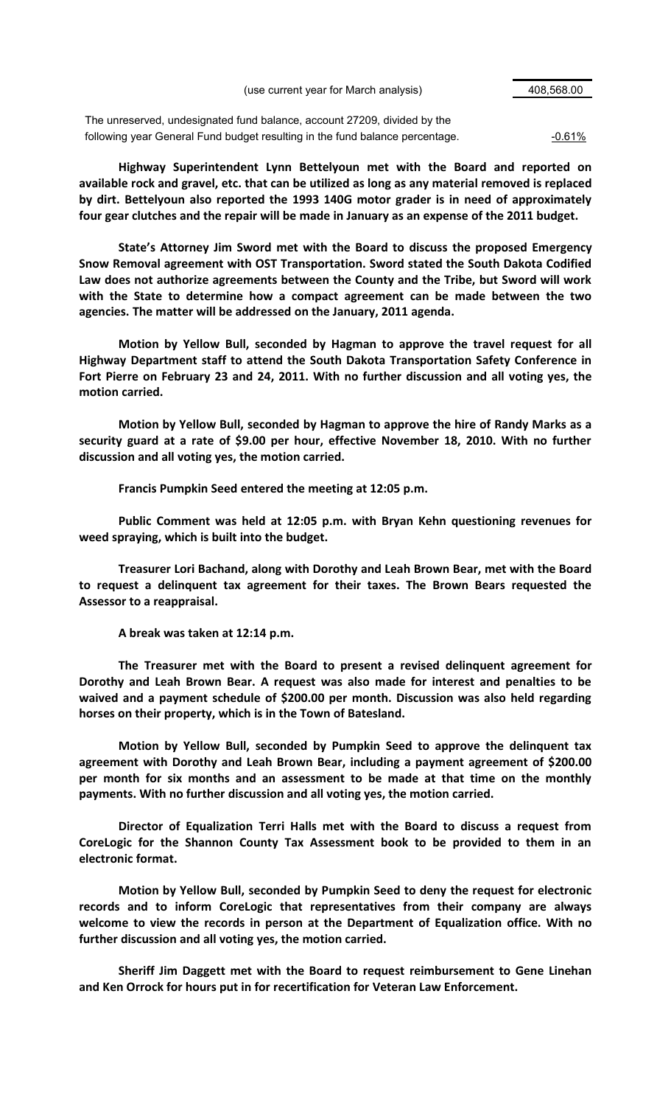(use current year for March analysis) 408,568.00

The unreserved, undesignated fund balance, account 27209, divided by the following year General Fund budget resulting in the fund balance percentage.  $-0.61\%$ 

**Highway Superintendent Lynn Bettelyoun met with the Board and reported on available rock and gravel, etc. that can be utilized as long as any material removed is replaced by dirt. Bettelyoun also reported the 1993 140G motor grader is in need of approximately four gear clutches and the repair will be made in January as an expense of the 2011 budget.**

**State's Attorney Jim Sword met with the Board to discuss the proposed Emergency Snow Removal agreement with OST Transportation. Sword stated the South Dakota Codified Law does not authorize agreements between the County and the Tribe, but Sword will work with the State to determine how a compact agreement can be made between the two agencies. The matter will be addressed on the January, 2011 agenda.**

**Motion by Yellow Bull, seconded by Hagman to approve the travel request for all Highway Department staff to attend the South Dakota Transportation Safety Conference in Fort Pierre on February 23 and 24, 2011. With no further discussion and all voting yes, the motion carried.**

**Motion by Yellow Bull, seconded by Hagman to approve the hire of Randy Marks as a security guard at a rate of \$9.00 per hour, effective November 18, 2010. With no further discussion and all voting yes, the motion carried.**

**Francis Pumpkin Seed entered the meeting at 12:05 p.m.**

**Public Comment was held at 12:05 p.m. with Bryan Kehn questioning revenues for weed spraying, which is built into the budget.**

**Treasurer Lori Bachand, along with Dorothy and Leah Brown Bear, met with the Board to request a delinquent tax agreement for their taxes. The Brown Bears requested the Assessor to a reappraisal.**

**A break was taken at 12:14 p.m.**

**The Treasurer met with the Board to present a revised delinquent agreement for Dorothy and Leah Brown Bear. A request was also made for interest and penalties to be waived and a payment schedule of \$200.00 per month. Discussion was also held regarding horses on their property, which is in the Town of Batesland.**

**Motion by Yellow Bull, seconded by Pumpkin Seed to approve the delinquent tax agreement with Dorothy and Leah Brown Bear, including a payment agreement of \$200.00 per month for six months and an assessment to be made at that time on the monthly payments. With no further discussion and all voting yes, the motion carried.**

**Director of Equalization Terri Halls met with the Board to discuss a request from CoreLogic for the Shannon County Tax Assessment book to be provided to them in an electronic format.**

**Motion by Yellow Bull, seconded by Pumpkin Seed to deny the request for electronic records and to inform CoreLogic that representatives from their company are always welcome to view the records in person at the Department of Equalization office. With no further discussion and all voting yes, the motion carried.**

**Sheriff Jim Daggett met with the Board to request reimbursement to Gene Linehan and Ken Orrock for hours put in for recertification for Veteran Law Enforcement.**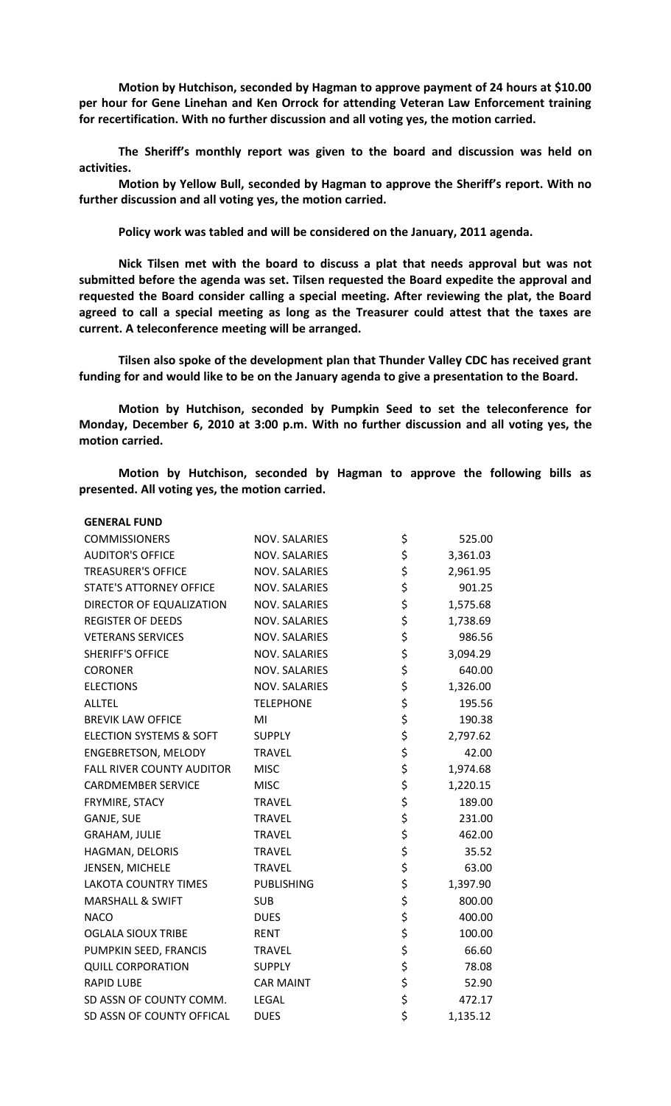**Motion by Hutchison, seconded by Hagman to approve payment of 24 hours at \$10.00 per hour for Gene Linehan and Ken Orrock for attending Veteran Law Enforcement training for recertification. With no further discussion and all voting yes, the motion carried.**

**The Sheriff's monthly report was given to the board and discussion was held on activities.**

**Motion by Yellow Bull, seconded by Hagman to approve the Sheriff's report. With no further discussion and all voting yes, the motion carried.**

**Policy work was tabled and will be considered on the January, 2011 agenda.**

**Nick Tilsen met with the board to discuss a plat that needs approval but was not submitted before the agenda was set. Tilsen requested the Board expedite the approval and requested the Board consider calling a special meeting. After reviewing the plat, the Board agreed to call a special meeting as long as the Treasurer could attest that the taxes are current. A teleconference meeting will be arranged.**

**Tilsen also spoke of the development plan that Thunder Valley CDC has received grant funding for and would like to be on the January agenda to give a presentation to the Board.**

**Motion by Hutchison, seconded by Pumpkin Seed to set the teleconference for Monday, December 6, 2010 at 3:00 p.m. With no further discussion and all voting yes, the motion carried.**

**Motion by Hutchison, seconded by Hagman to approve the following bills as presented. All voting yes, the motion carried.**

| <b>GENERAL FUND</b>                |                      |                |
|------------------------------------|----------------------|----------------|
| <b>COMMISSIONERS</b>               | NOV. SALARIES        | \$<br>525.00   |
| <b>AUDITOR'S OFFICE</b>            | NOV. SALARIES        | \$<br>3,361.03 |
| <b>TREASURER'S OFFICE</b>          | NOV. SALARIES        | \$<br>2,961.95 |
| STATE'S ATTORNEY OFFICE            | NOV. SALARIES        | \$<br>901.25   |
| DIRECTOR OF EQUALIZATION           | <b>NOV. SALARIES</b> | \$<br>1,575.68 |
| <b>REGISTER OF DEEDS</b>           | <b>NOV. SALARIES</b> | \$<br>1,738.69 |
| <b>VETERANS SERVICES</b>           | NOV. SALARIES        | \$<br>986.56   |
| <b>SHERIFF'S OFFICE</b>            | <b>NOV. SALARIES</b> | \$<br>3,094.29 |
| <b>CORONER</b>                     | <b>NOV. SALARIES</b> | \$<br>640.00   |
| <b>ELECTIONS</b>                   | <b>NOV. SALARIES</b> | \$<br>1,326.00 |
| <b>ALLTEL</b>                      | <b>TELEPHONE</b>     | \$<br>195.56   |
| <b>BREVIK LAW OFFICE</b>           | MI                   | \$<br>190.38   |
| <b>ELECTION SYSTEMS &amp; SOFT</b> | <b>SUPPLY</b>        | \$<br>2,797.62 |
| <b>ENGEBRETSON, MELODY</b>         | <b>TRAVEL</b>        | \$<br>42.00    |
| <b>FALL RIVER COUNTY AUDITOR</b>   | <b>MISC</b>          | \$<br>1,974.68 |
| <b>CARDMEMBER SERVICE</b>          | <b>MISC</b>          | \$<br>1,220.15 |
| FRYMIRE, STACY                     | <b>TRAVEL</b>        | \$<br>189.00   |
| <b>GANJE, SUE</b>                  | <b>TRAVEL</b>        | \$<br>231.00   |
| <b>GRAHAM, JULIE</b>               | <b>TRAVEL</b>        | \$<br>462.00   |
| HAGMAN, DELORIS                    | <b>TRAVEL</b>        | \$<br>35.52    |
| JENSEN, MICHELE                    | <b>TRAVEL</b>        | \$<br>63.00    |
| <b>LAKOTA COUNTRY TIMES</b>        | <b>PUBLISHING</b>    | \$<br>1,397.90 |
| <b>MARSHALL &amp; SWIFT</b>        | <b>SUB</b>           | \$<br>800.00   |
| <b>NACO</b>                        | <b>DUES</b>          | \$<br>400.00   |
| <b>OGLALA SIOUX TRIBE</b>          | <b>RENT</b>          | \$<br>100.00   |
| PUMPKIN SEED, FRANCIS              | <b>TRAVEL</b>        | \$<br>66.60    |
| <b>QUILL CORPORATION</b>           | <b>SUPPLY</b>        | \$<br>78.08    |
| <b>RAPID LUBE</b>                  | <b>CAR MAINT</b>     | \$<br>52.90    |
| SD ASSN OF COUNTY COMM.            | <b>LEGAL</b>         | \$<br>472.17   |
| SD ASSN OF COUNTY OFFICAL          | <b>DUES</b>          | \$<br>1,135.12 |